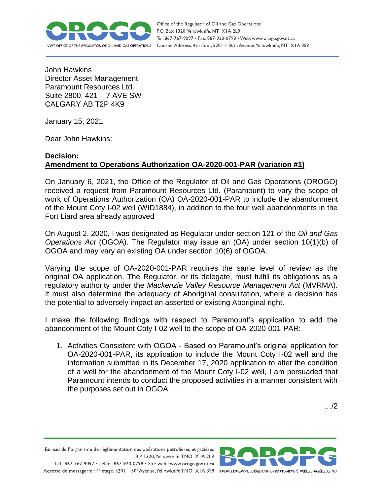

Office of the Regulator of Oil and Gas Operations P.O. Box 1320, Yellowknife, NT XIA 2L9 Tel: 867-767-9097 • Fax: 867-920-0798 • Web: www.orogo.gov.nt.ca Courier Address: 4th floor, 5201 - 50th Avenue, Yellowknife, NT XIA 3S9

John Hawkins Director Asset Management Paramount Resources Ltd. Suite 2800, 421 – 7 AVE SW CALGARY AB T2P 4K9

January 15, 2021

Dear John Hawkins:

## **Decision: Amendment to Operations Authorization OA-2020-001-PAR (variation #1)**

On January 6, 2021, the Office of the Regulator of Oil and Gas Operations (OROGO) received a request from Paramount Resources Ltd. (Paramount) to vary the scope of work of Operations Authorization (OA) OA-2020-001-PAR to include the abandonment of the Mount Coty I-02 well (WID1884), in addition to the four well abandonments in the Fort Liard area already approved

On August 2, 2020, I was designated as Regulator under section 121 of the *Oil and Gas Operations Act* (OGOA). The Regulator may issue an (OA) under section 10(1)(b) of OGOA and may vary an existing OA under section 10(6) of OGOA.

Varying the scope of OA-2020-001-PAR requires the same level of review as the original OA application. The Regulator, or its delegate, must fulfill its obligations as a regulatory authority under the *Mackenzie Valley Resource Management Act* (MVRMA). It must also determine the adequacy of Aboriginal consultation, where a decision has the potential to adversely impact an asserted or existing Aboriginal right.

I make the following findings with respect to Paramount's application to add the abandonment of the Mount Coty I-02 well to the scope of OA-2020-001-PAR:

1. Activities Consistent with OGOA - Based on Paramount's original application for OA-2020-001-PAR, its application to include the Mount Coty I-02 well and the information submitted in its December 17, 2020 application to alter the condition of a well for the abandonment of the Mount Coty I-02 well, I am persuaded that Paramount intends to conduct the proposed activities in a manner consistent with the purposes set out in OGOA.

…/2

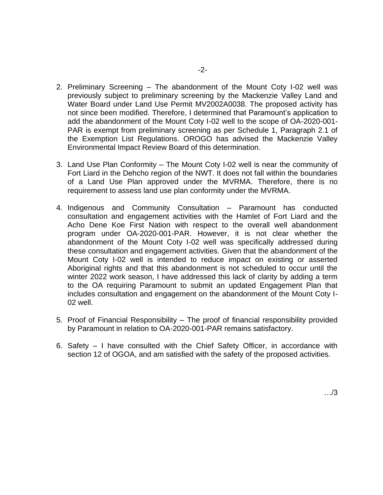- 2. Preliminary Screening The abandonment of the Mount Coty I-02 well was previously subject to preliminary screening by the Mackenzie Valley Land and Water Board under Land Use Permit MV2002A0038. The proposed activity has not since been modified. Therefore, I determined that Paramount's application to add the abandonment of the Mount Coty I-02 well to the scope of OA-2020-001- PAR is exempt from preliminary screening as per Schedule 1, Paragraph 2.1 of the Exemption List Regulations. OROGO has advised the Mackenzie Valley Environmental Impact Review Board of this determination.
- 3. Land Use Plan Conformity The Mount Coty I-02 well is near the community of Fort Liard in the Dehcho region of the NWT. It does not fall within the boundaries of a Land Use Plan approved under the MVRMA. Therefore, there is no requirement to assess land use plan conformity under the MVRMA.
- 4. Indigenous and Community Consultation Paramount has conducted consultation and engagement activities with the Hamlet of Fort Liard and the Acho Dene Koe First Nation with respect to the overall well abandonment program under OA-2020-001-PAR. However, it is not clear whether the abandonment of the Mount Coty I-02 well was specifically addressed during these consultation and engagement activities. Given that the abandonment of the Mount Coty I-02 well is intended to reduce impact on existing or asserted Aboriginal rights and that this abandonment is not scheduled to occur until the winter 2022 work season, I have addressed this lack of clarity by adding a term to the OA requiring Paramount to submit an updated Engagement Plan that includes consultation and engagement on the abandonment of the Mount Coty I-02 well.
- 5. Proof of Financial Responsibility The proof of financial responsibility provided by Paramount in relation to OA-2020-001-PAR remains satisfactory.
- 6. Safety I have consulted with the Chief Safety Officer, in accordance with section 12 of OGOA, and am satisfied with the safety of the proposed activities.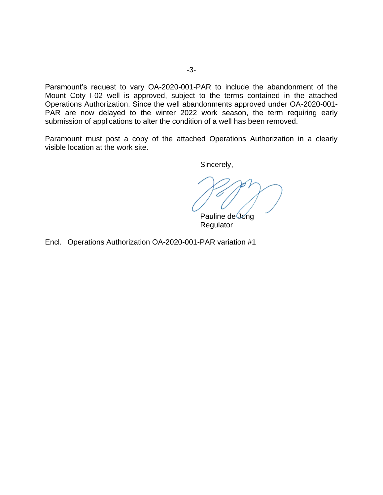Paramount's request to vary OA-2020-001-PAR to include the abandonment of the Mount Coty I-02 well is approved, subject to the terms contained in the attached Operations Authorization. Since the well abandonments approved under OA-2020-001- PAR are now delayed to the winter 2022 work season, the term requiring early submission of applications to alter the condition of a well has been removed.

Paramount must post a copy of the attached Operations Authorization in a clearly visible location at the work site.

Sincerely,

Pauline de Jong Regulator

Encl. Operations Authorization OA-2020-001-PAR variation #1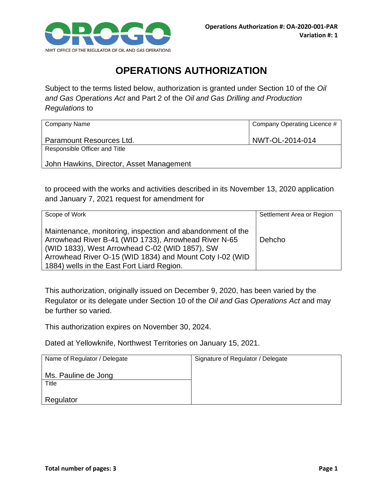

## **OPERATIONS AUTHORIZATION**

Subject to the terms listed below, authorization is granted under Section 10 of the *Oil and Gas Operations Act* and Part 2 of the *Oil and Gas Drilling and Production Regulations* to

| <b>Company Name</b>                      | Company Operating Licence # |
|------------------------------------------|-----------------------------|
| Paramount Resources Ltd.                 | NWT-OL-2014-014             |
| Responsible Officer and Title            |                             |
| John Hawkins, Director, Asset Management |                             |

to proceed with the works and activities described in its November 13, 2020 application and January 7, 2021 request for amendment for

| Scope of Work                                                                                                                                                                                                                                                                   | Settlement Area or Region |
|---------------------------------------------------------------------------------------------------------------------------------------------------------------------------------------------------------------------------------------------------------------------------------|---------------------------|
| Maintenance, monitoring, inspection and abandonment of the<br>Arrowhead River B-41 (WID 1733), Arrowhead River N-65<br>(WID 1833), West Arrowhead C-02 (WID 1857), SW<br>Arrowhead River O-15 (WID 1834) and Mount Coty I-02 (WID<br>1884) wells in the East Fort Liard Region. | Dehcho                    |

This authorization, originally issued on December 9, 2020, has been varied by the Regulator or its delegate under Section 10 of the *Oil and Gas Operations Act* and may be further so varied.

This authorization expires on November 30, 2024.

Dated at Yellowknife, Northwest Territories on January 15, 2021.

| Name of Regulator / Delegate | Signature of Regulator / Delegate |
|------------------------------|-----------------------------------|
| Ms. Pauline de Jong          |                                   |
| Title                        |                                   |
| Regulator                    |                                   |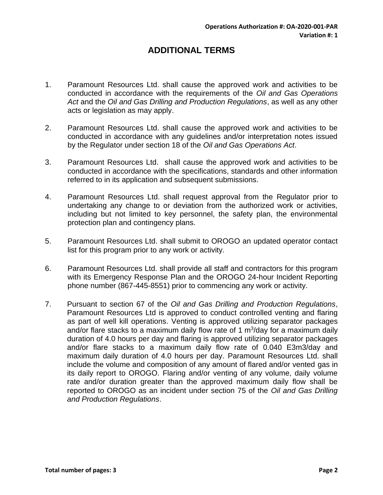## **ADDITIONAL TERMS**

- 1. Paramount Resources Ltd. shall cause the approved work and activities to be conducted in accordance with the requirements of the *Oil and Gas Operations Act* and the *Oil and Gas Drilling and Production Regulations*, as well as any other acts or legislation as may apply.
- 2. Paramount Resources Ltd. shall cause the approved work and activities to be conducted in accordance with any guidelines and/or interpretation notes issued by the Regulator under section 18 of the *Oil and Gas Operations Act*.
- 3. Paramount Resources Ltd. shall cause the approved work and activities to be conducted in accordance with the specifications, standards and other information referred to in its application and subsequent submissions.
- 4. Paramount Resources Ltd. shall request approval from the Regulator prior to undertaking any change to or deviation from the authorized work or activities, including but not limited to key personnel, the safety plan, the environmental protection plan and contingency plans.
- 5. Paramount Resources Ltd. shall submit to OROGO an updated operator contact list for this program prior to any work or activity.
- 6. Paramount Resources Ltd. shall provide all staff and contractors for this program with its Emergency Response Plan and the OROGO 24-hour Incident Reporting phone number (867-445-8551) prior to commencing any work or activity.
- 7. Pursuant to section 67 of the *Oil and Gas Drilling and Production Regulations*, Paramount Resources Ltd is approved to conduct controlled venting and flaring as part of well kill operations. Venting is approved utilizing separator packages and/or flare stacks to a maximum daily flow rate of 1  $m<sup>3</sup>/day$  for a maximum daily duration of 4.0 hours per day and flaring is approved utilizing separator packages and/or flare stacks to a maximum daily flow rate of 0.040 E3m3/day and maximum daily duration of 4.0 hours per day. Paramount Resources Ltd. shall include the volume and composition of any amount of flared and/or vented gas in its daily report to OROGO. Flaring and/or venting of any volume, daily volume rate and/or duration greater than the approved maximum daily flow shall be reported to OROGO as an incident under section 75 of the *Oil and Gas Drilling and Production Regulations*.